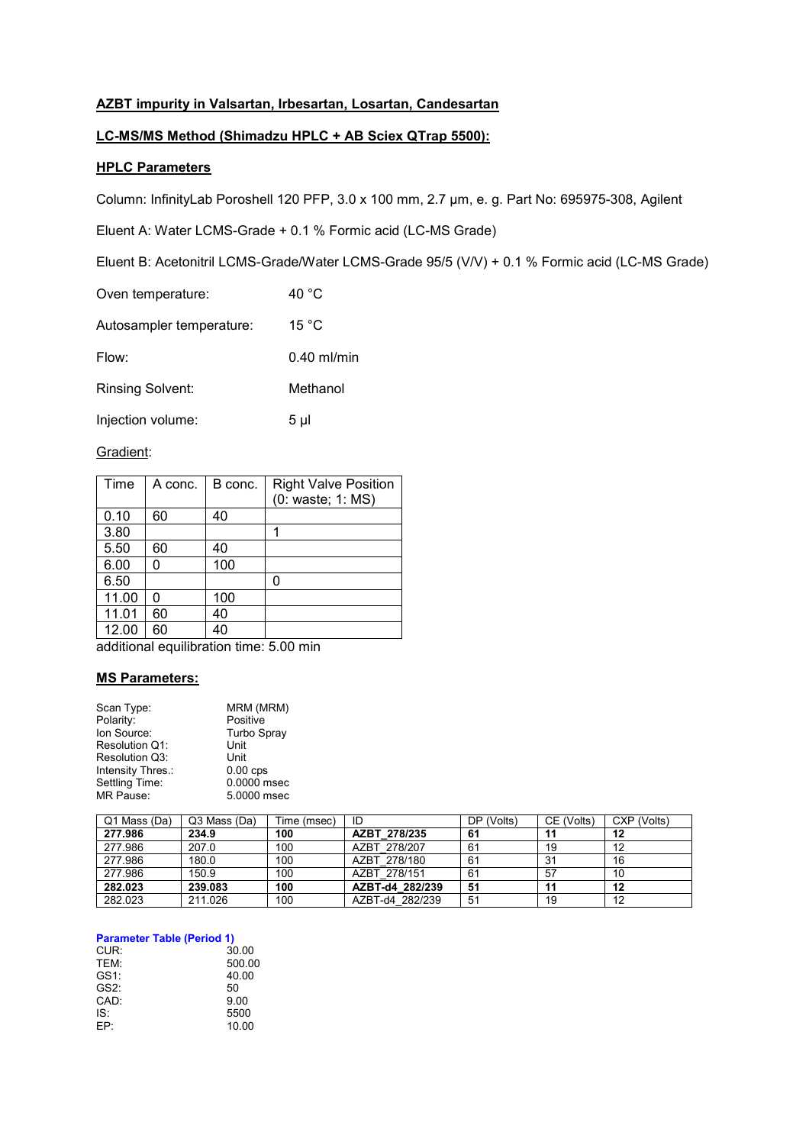## **AZBT impurity in Valsartan, Irbesartan, Losartan, Candesartan**

## **LC-MS/MS Method (Shimadzu HPLC + AB Sciex QTrap 5500):**

## **HPLC Parameters**

Column: InfinityLab Poroshell 120 PFP, 3.0 x 100 mm, 2.7 µm, e. g. Part No: 695975-308, Agilent

Eluent A: Water LCMS-Grade + 0.1 % Formic acid (LC-MS Grade)

Eluent B: Acetonitril LCMS-Grade/Water LCMS-Grade 95/5 (V/V) + 0.1 % Formic acid (LC-MS Grade)

| Oven temperature:        | 40 °C         |
|--------------------------|---------------|
| Autosampler temperature: | 15 °C         |
| Flow:                    | $0.40$ ml/min |
| <b>Rinsing Solvent:</b>  | Methanol      |
| Injection volume:        | 5 µl          |

### Gradient:

| Time  | A conc. | B conc. | <b>Right Valve Position</b><br>(0: waste; 1: MS) |
|-------|---------|---------|--------------------------------------------------|
| 0.10  | 60      | 40      |                                                  |
| 3.80  |         |         | 1                                                |
| 5.50  | 60      | 40      |                                                  |
| 6.00  |         | 100     |                                                  |
| 6.50  |         |         | 0                                                |
| 11.00 | n       | 100     |                                                  |
| 11.01 | 60      | 40      |                                                  |
| 12.00 | 60      | 40      |                                                  |

additional equilibration time: 5.00 min

### **MS Parameters:**

| Scan Type:        | MRM (MRM)          |
|-------------------|--------------------|
| Polarity:         | Positive           |
| Ion Source:       | <b>Turbo Spray</b> |
| Resolution Q1:    | Unit               |
| Resolution Q3:    | Unit               |
| Intensity Thres.: | $0.00$ cps         |
| Settling Time:    | 0.0000 msec        |
| MR Pause:         | 5.0000 msec        |
|                   |                    |

| Q1 Mass (Da) | Q3 Mass (Da) | Time (msec) | ID              | DP (Volts) | CE (Volts) | CXP (Volts) |
|--------------|--------------|-------------|-----------------|------------|------------|-------------|
| 277.986      | 234.9        | 100         | AZBT 278/235    | 61         | 11         | 12          |
| 277.986      | 207.0        | 100         | AZBT 278/207    | 61         | 19         | 12          |
| 277.986      | 180.0        | 100         | AZBT 278/180    | 61         | -31        | 16          |
| 277.986      | 150.9        | 100         | AZBT 278/151    | 61         | 57         | 10          |
| 282.023      | 239.083      | 100         | AZBT-d4 282/239 | 51         | 11         | 12          |
| 282.023      | 211.026      | 100         | AZBT-d4 282/239 | 51         | 19         | 12          |

#### **Parameter Table (Period 1)**

| CUR:             | 30.00  |
|------------------|--------|
| <b>TFM</b>       | 500.00 |
| GS <sub>1:</sub> | 40.00  |
| GS2:             | 50     |
| CAD:             | 9.00   |
| IS۰              | 5500   |
| FP.              | 10.00  |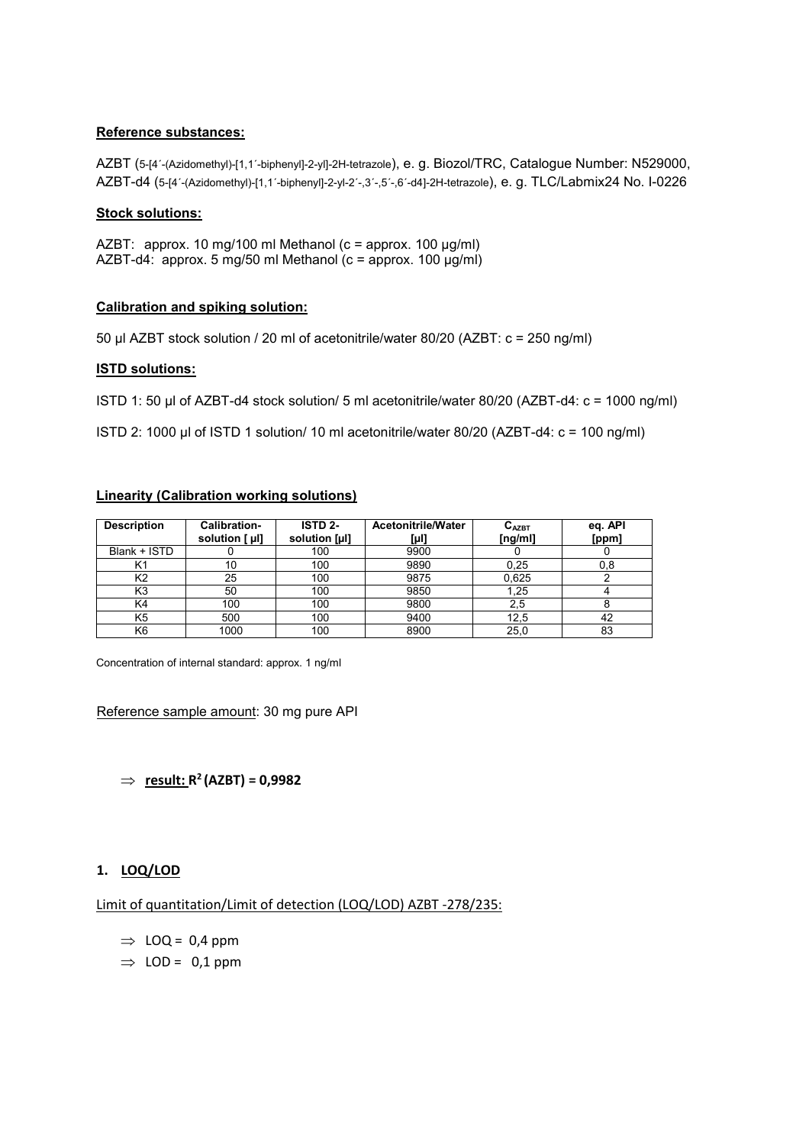### **Reference substances:**

AZBT (5-[4´-(Azidomethyl)-[1,1´-biphenyl]-2-yl]-2H-tetrazole), e. g. Biozol/TRC, Catalogue Number: N529000, AZBT-d4 (5-[4´-(Azidomethyl)-[1,1´-biphenyl]-2-yl-2´-,3´-,5´-,6´-d4]-2H-tetrazole), e. g. TLC/Labmix24 No. I-0226

### **Stock solutions:**

AZBT: approx. 10 mg/100 ml Methanol (c = approx. 100 μg/ml) AZBT-d4: approx. 5 mg/50 ml Methanol (c = approx. 100 μg/ml)

### **Calibration and spiking solution:**

50 µl AZBT stock solution / 20 ml of acetonitrile/water 80/20 (AZBT: c = 250 ng/ml)

### **ISTD solutions:**

ISTD 1: 50 μl of AZBT-d4 stock solution/ 5 ml acetonitrile/water 80/20 (AZBT-d4: c = 1000 ng/ml)

ISTD 2: 1000 μl of ISTD 1 solution/ 10 ml acetonitrile/water 80/20 (AZBT-d4: c = 100 ng/ml)

### **Linearity (Calibration working solutions)**

| <b>Description</b> | Calibration-<br>solution [ µl] | ISTD <sub>2</sub> -<br>solution [µl] | <b>Acetonitrile/Water</b><br>[µl] | $C_{AZBT}$<br>[ng/ml] | eq. API<br>[ppm] |
|--------------------|--------------------------------|--------------------------------------|-----------------------------------|-----------------------|------------------|
| Blank + ISTD       |                                | 100                                  | 9900                              |                       |                  |
| K1                 | 10                             | 100                                  | 9890                              | 0.25                  | 0,8              |
| К2                 | 25                             | 100                                  | 9875                              | 0.625                 |                  |
| K3                 | 50                             | 100                                  | 9850                              | 1,25                  |                  |
| K4                 | 100                            | 100                                  | 9800                              | 2,5                   |                  |
| K5                 | 500                            | 100                                  | 9400                              | 12,5                  | 42               |
| K <sub>6</sub>     | 1000                           | 100                                  | 8900                              | 25,0                  | 83               |

Concentration of internal standard: approx. 1 ng/ml

Reference sample amount: 30 mg pure API

 $\Rightarrow$  **result: R<sup>2</sup>** (AZBT) = 0,9982

## **1. LOQ/LOD**

Limit of quantitation/Limit of detection (LOQ/LOD) AZBT -278/235:

- $\Rightarrow$  LOQ = 0,4 ppm
- $\Rightarrow$  LOD = 0,1 ppm